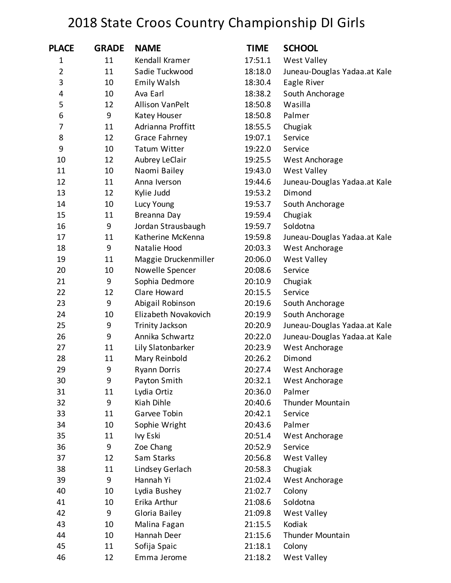## 2018 State Croos Country Championship DI Girls

| <b>PLACE</b>   | <b>GRADE</b> | <b>NAME</b>            | <b>TIME</b> | <b>SCHOOL</b>                |
|----------------|--------------|------------------------|-------------|------------------------------|
| 1              | 11           | Kendall Kramer         | 17:51.1     | <b>West Valley</b>           |
| $\overline{2}$ | 11           | Sadie Tuckwood         | 18:18.0     | Juneau-Douglas Yadaa.at Kale |
| 3              | 10           | <b>Emily Walsh</b>     | 18:30.4     | Eagle River                  |
| 4              | 10           | Ava Earl               | 18:38.2     | South Anchorage              |
| 5              | 12           | <b>Allison VanPelt</b> | 18:50.8     | Wasilla                      |
| 6              | 9            | Katey Houser           | 18:50.8     | Palmer                       |
| 7              | 11           | Adrianna Proffitt      | 18:55.5     | Chugiak                      |
| 8              | 12           | Grace Fahrney          | 19:07.1     | Service                      |
| 9              | 10           | <b>Tatum Witter</b>    | 19:22.0     | Service                      |
| 10             | 12           | Aubrey LeClair         | 19:25.5     | West Anchorage               |
| 11             | 10           | Naomi Bailey           | 19:43.0     | <b>West Valley</b>           |
| 12             | 11           | Anna Iverson           | 19:44.6     | Juneau-Douglas Yadaa.at Kale |
| 13             | 12           | Kylie Judd             | 19:53.2     | Dimond                       |
| 14             | 10           | Lucy Young             | 19:53.7     | South Anchorage              |
| 15             | 11           | Breanna Day            | 19:59.4     | Chugiak                      |
| 16             | 9            | Jordan Strausbaugh     | 19:59.7     | Soldotna                     |
| 17             | 11           | Katherine McKenna      | 19:59.8     | Juneau-Douglas Yadaa.at Kale |
| 18             | 9            | Natalie Hood           | 20:03.3     | West Anchorage               |
| 19             | 11           | Maggie Druckenmiller   | 20:06.0     | <b>West Valley</b>           |
| 20             | 10           | Nowelle Spencer        | 20:08.6     | Service                      |
| 21             | 9            | Sophia Dedmore         | 20:10.9     | Chugiak                      |
| 22             | 12           | Clare Howard           | 20:15.5     | Service                      |
| 23             | 9            | Abigail Robinson       | 20:19.6     | South Anchorage              |
| 24             | 10           | Elizabeth Novakovich   | 20:19.9     | South Anchorage              |
| 25             | 9            | <b>Trinity Jackson</b> | 20:20.9     | Juneau-Douglas Yadaa.at Kale |
| 26             | 9            | Annika Schwartz        | 20:22.0     | Juneau-Douglas Yadaa.at Kale |
| 27             | 11           | Lily Slatonbarker      | 20:23.9     | West Anchorage               |
| 28             | 11           | Mary Reinbold          | 20:26.2     | Dimond                       |
| 29             | 9            | <b>Ryann Dorris</b>    | 20:27.4     | West Anchorage               |
| 30             | 9            | Payton Smith           | 20:32.1     | West Anchorage               |
| 31             | 11           | Lydia Ortiz            | 20:36.0     | Palmer                       |
| 32             | 9            | Kiah Dihle             | 20:40.6     | <b>Thunder Mountain</b>      |
| 33             | 11           | Garvee Tobin           | 20:42.1     | Service                      |
| 34             | 10           | Sophie Wright          | 20:43.6     | Palmer                       |
| 35             | 11           | Ivy Eski               | 20:51.4     | West Anchorage               |
| 36             | 9            | Zoe Chang              | 20:52.9     | Service                      |
| 37             | 12           | Sam Starks             | 20:56.8     | <b>West Valley</b>           |
| 38             | 11           | Lindsey Gerlach        | 20:58.3     | Chugiak                      |
| 39             | 9            | Hannah Yi              | 21:02.4     | West Anchorage               |
| 40             | 10           | Lydia Bushey           | 21:02.7     | Colony                       |
| 41             | 10           | Erika Arthur           | 21:08.6     | Soldotna                     |
| 42             | 9            | Gloria Bailey          | 21:09.8     | <b>West Valley</b>           |
| 43             | 10           | Malina Fagan           | 21:15.5     | Kodiak                       |
| 44             | 10           | Hannah Deer            | 21:15.6     | Thunder Mountain             |
| 45             | 11           | Sofija Spaic           | 21:18.1     | Colony                       |
| 46             | 12           | Emma Jerome            | 21:18.2     | <b>West Valley</b>           |